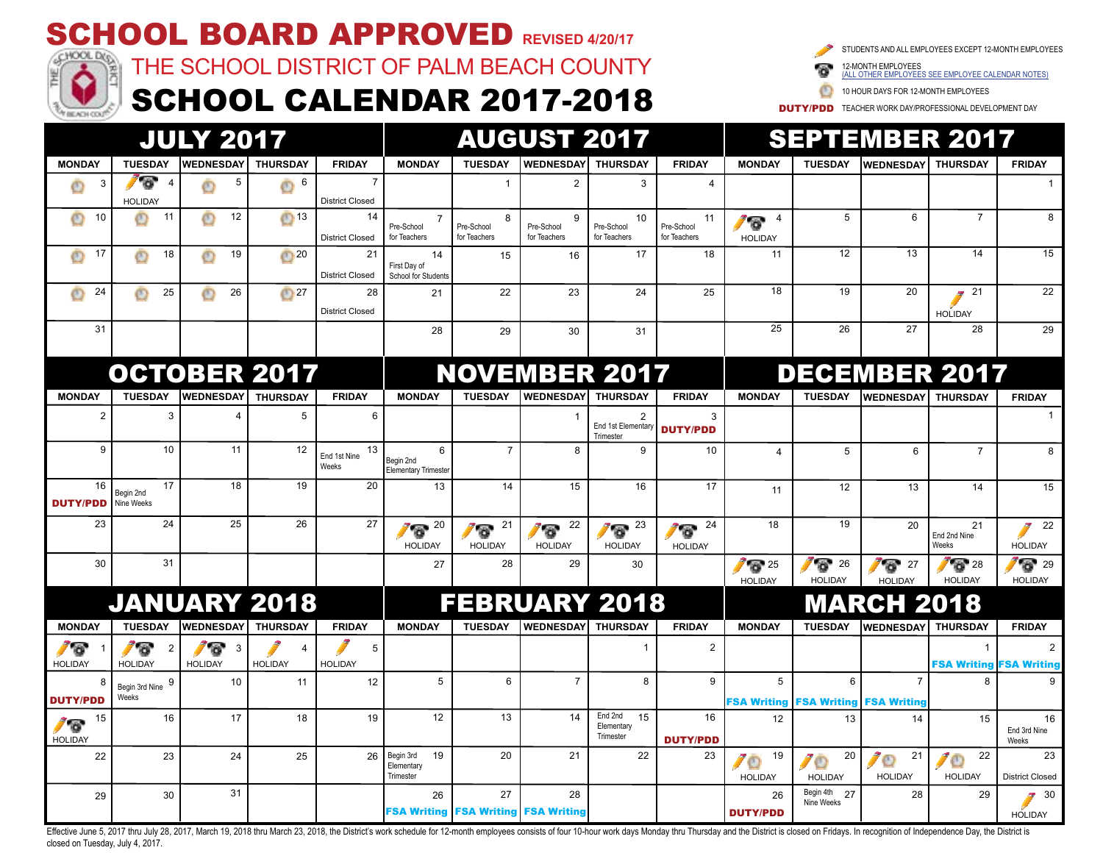

Effective June 5. 2017 thru Julv 28, 2017. March 19, 2018 thru March 23, 2018, the District's work schedule for 12-month employees consists of four 10-hour work days Monday thru Thursday and the District is closed on Frida closed on Tuesday, July 4, 2017.